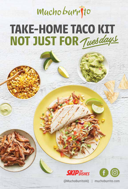## Mucho burrito **TAKE-HOME TACO KIT** NOT JUST FOR Tuesdays





@MuchoBurritoHQ | muchoburrito.com